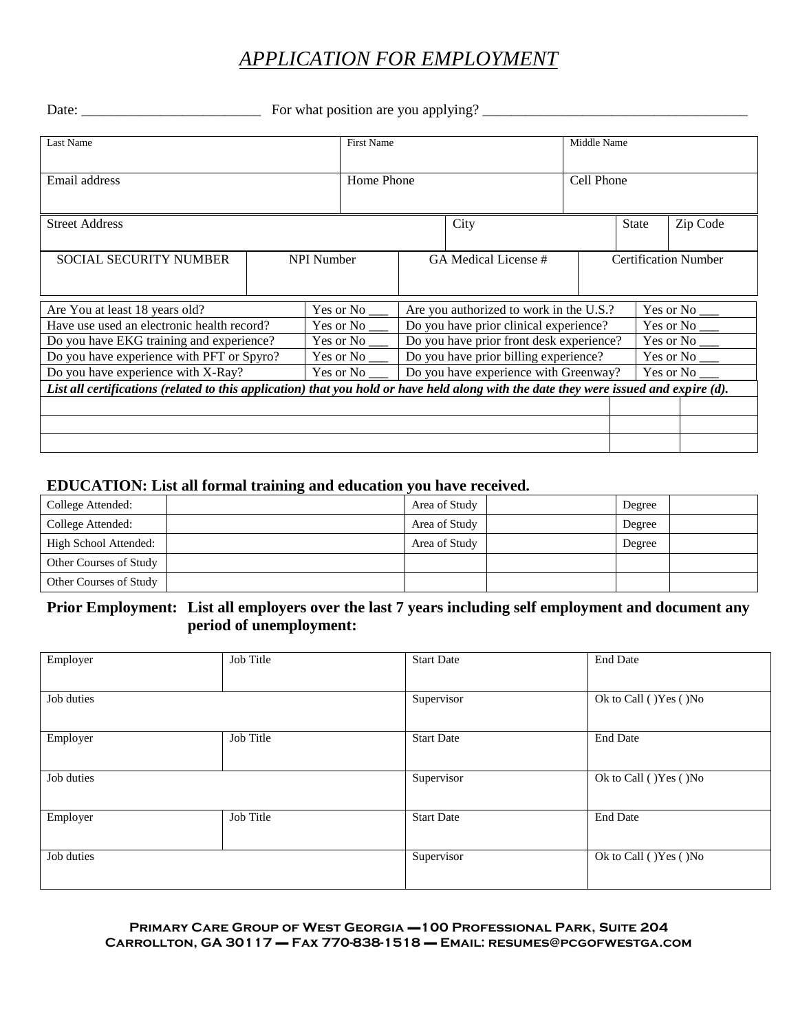# *APPLICATION FOR EMPLOYMENT*

Date: \_\_\_\_\_\_\_\_\_\_\_\_\_\_\_\_\_\_\_\_\_\_\_\_\_ For what position are you applying? \_\_\_\_\_\_\_\_\_\_\_\_\_\_\_\_\_\_\_\_\_\_\_\_\_\_\_\_\_\_\_\_\_\_\_\_\_

| Last Name                                                                                                                             |                   | <b>First Name</b>    |                                          | Middle Name                 |  |       |                  |  |
|---------------------------------------------------------------------------------------------------------------------------------------|-------------------|----------------------|------------------------------------------|-----------------------------|--|-------|------------------|--|
| Email address                                                                                                                         |                   | Home Phone           |                                          | Cell Phone                  |  |       |                  |  |
| <b>Street Address</b>                                                                                                                 |                   |                      | City                                     |                             |  | State | Zip Code         |  |
| <b>SOCIAL SECURITY NUMBER</b>                                                                                                         | <b>NPI Number</b> | GA Medical License # |                                          | <b>Certification Number</b> |  |       |                  |  |
| Yes or No<br>Are You at least 18 years old?                                                                                           |                   |                      | Are you authorized to work in the U.S.?  |                             |  |       |                  |  |
| Have use used an electronic health record?                                                                                            |                   | Yes or No            | Do you have prior clinical experience?   |                             |  |       |                  |  |
| Do you have EKG training and experience?                                                                                              |                   | Yes or No            | Do you have prior front desk experience? |                             |  |       |                  |  |
| Do you have experience with PFT or Spyro?                                                                                             |                   | Yes or No            | Do you have prior billing experience?    |                             |  |       |                  |  |
| Do you have experience with X-Ray?<br>Yes or No                                                                                       |                   |                      | Do you have experience with Greenway?    |                             |  |       | Yes or No $_{-}$ |  |
| List all certifications (related to this application) that you hold or have held along with the date they were issued and expire (d). |                   |                      |                                          |                             |  |       |                  |  |
|                                                                                                                                       |                   |                      |                                          |                             |  |       |                  |  |
|                                                                                                                                       |                   |                      |                                          |                             |  |       |                  |  |
|                                                                                                                                       |                   |                      |                                          |                             |  |       |                  |  |

### **EDUCATION: List all formal training and education you have received.**

| College Attended:      | Area of Study | Degree |
|------------------------|---------------|--------|
| College Attended:      | Area of Study | Degree |
| High School Attended:  | Area of Study | Degree |
| Other Courses of Study |               |        |
| Other Courses of Study |               |        |

## **Prior Employment: List all employers over the last 7 years including self employment and document any period of unemployment:**

| Employer   | Job Title | <b>Start Date</b> | <b>End Date</b>         |
|------------|-----------|-------------------|-------------------------|
|            |           |                   |                         |
| Job duties |           | Supervisor        | Ok to Call ( )Yes ( )No |
|            |           |                   |                         |
| Employer   | Job Title | <b>Start Date</b> | <b>End Date</b>         |
|            |           |                   |                         |
| Job duties |           | Supervisor        | Ok to Call ( )Yes ( )No |
|            |           |                   |                         |
| Employer   | Job Title | <b>Start Date</b> | <b>End Date</b>         |
|            |           |                   |                         |
| Job duties |           | Supervisor        | Ok to Call ( )Yes ( )No |
|            |           |                   |                         |

**Primary Care Group of West Georgia** ▬**100 Professional Park, Suite 204 Carrollton, GA 30117** ▬ **Fax 770-838-1518** ▬ **Email: resumes@pcgofwestga.com**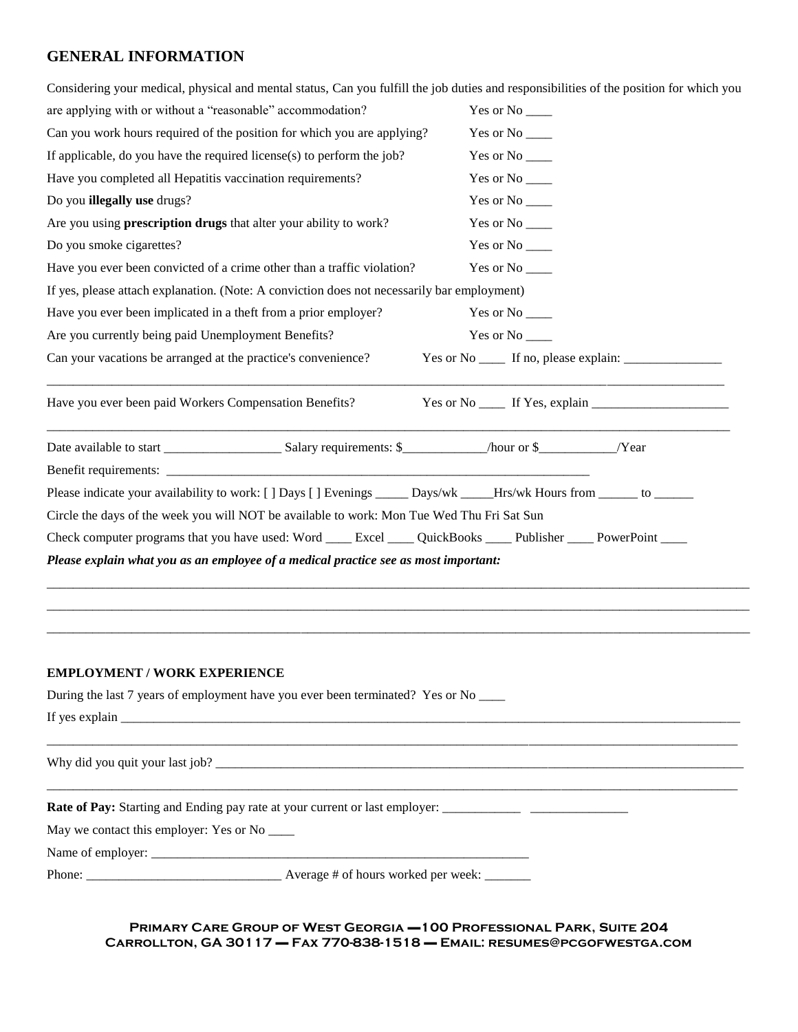## **GENERAL INFORMATION**

| Considering your medical, physical and mental status, Can you fulfill the job duties and responsibilities of the position for which you |                                                       |  |  |  |
|-----------------------------------------------------------------------------------------------------------------------------------------|-------------------------------------------------------|--|--|--|
| are applying with or without a "reasonable" accommodation?                                                                              | Yes or No ______                                      |  |  |  |
| Can you work hours required of the position for which you are applying?                                                                 | Yes or No ______                                      |  |  |  |
| If applicable, do you have the required license(s) to perform the job?                                                                  |                                                       |  |  |  |
| Have you completed all Hepatitis vaccination requirements?                                                                              | Yes or No ______                                      |  |  |  |
| Do you illegally use drugs?                                                                                                             | Yes or No ______                                      |  |  |  |
| Are you using prescription drugs that alter your ability to work?                                                                       | Yes or No ______                                      |  |  |  |
| Do you smoke cigarettes?                                                                                                                |                                                       |  |  |  |
| Have you ever been convicted of a crime other than a traffic violation?                                                                 | Yes or No ______                                      |  |  |  |
| If yes, please attach explanation. (Note: A conviction does not necessarily bar employment)                                             |                                                       |  |  |  |
| Have you ever been implicated in a theft from a prior employer?                                                                         | Yes or No ______                                      |  |  |  |
| Are you currently being paid Unemployment Benefits?                                                                                     | Yes or No ______                                      |  |  |  |
| Can your vacations be arranged at the practice's convenience?                                                                           | Yes or No ______ If no, please explain: _____________ |  |  |  |
| Have you ever been paid Workers Compensation Benefits?                                                                                  |                                                       |  |  |  |
|                                                                                                                                         |                                                       |  |  |  |
|                                                                                                                                         |                                                       |  |  |  |
| Please indicate your availability to work: [] Days [] Evenings _____ Days/wk ____Hrs/wk Hours from _____ to _____                       |                                                       |  |  |  |
| Circle the days of the week you will NOT be available to work: Mon Tue Wed Thu Fri Sat Sun                                              |                                                       |  |  |  |
| Check computer programs that you have used: Word _____ Excel _____ QuickBooks ____ Publisher ____ PowerPoint ____                       |                                                       |  |  |  |
| Please explain what you as an employee of a medical practice see as most important:                                                     |                                                       |  |  |  |
|                                                                                                                                         |                                                       |  |  |  |
|                                                                                                                                         |                                                       |  |  |  |
|                                                                                                                                         |                                                       |  |  |  |
| <b>EMPLOYMENT / WORK EXPERIENCE</b>                                                                                                     |                                                       |  |  |  |
| During the last 7 years of employment have you ever been terminated? Yes or No ____                                                     |                                                       |  |  |  |
|                                                                                                                                         |                                                       |  |  |  |

Why did you quit your last job? \_\_\_\_\_\_\_\_\_\_\_\_\_\_\_\_\_\_\_\_\_\_\_\_\_\_\_\_\_\_\_\_\_\_\_\_\_\_\_\_\_\_\_\_\_\_\_\_\_\_\_\_\_\_\_\_\_\_\_\_\_\_\_\_\_\_\_\_\_\_\_\_\_\_\_\_\_\_\_\_\_

**Rate of Pay:** Starting and Ending pay rate at your current or last employer: \_\_\_\_\_\_\_\_\_\_\_\_ \_\_\_\_\_\_\_\_\_\_\_\_\_\_\_

May we contact this employer: Yes or No \_\_\_\_\_

Name of employer: \_\_\_\_\_\_\_\_\_\_\_\_\_\_\_\_\_\_\_\_\_\_\_\_\_\_\_\_\_\_\_\_\_\_\_\_\_\_\_\_\_\_\_\_\_\_\_\_\_\_\_\_\_\_\_\_\_\_

Phone: \_\_\_\_\_\_\_\_\_\_\_\_\_\_\_\_\_\_\_\_\_\_\_\_\_\_\_\_\_\_ Average # of hours worked per week: \_\_\_\_\_\_\_

**Primary Care Group of West Georgia** ▬**100 Professional Park, Suite 204 Carrollton, GA 30117** ▬ **Fax 770-838-1518** ▬ **Email: resumes@pcgofwestga.com**

\_\_\_\_\_\_\_\_\_\_\_\_\_\_\_\_\_\_\_\_\_\_\_\_\_\_\_\_\_\_\_\_\_\_\_\_\_\_\_\_\_\_\_\_\_\_\_\_\_\_\_\_\_\_\_\_\_\_\_\_\_\_\_\_\_\_\_\_\_\_\_\_\_\_\_\_\_\_\_\_\_\_\_\_\_\_\_\_\_\_\_\_\_\_\_\_\_\_\_\_\_\_\_\_\_\_

\_\_\_\_\_\_\_\_\_\_\_\_\_\_\_\_\_\_\_\_\_\_\_\_\_\_\_\_\_\_\_\_\_\_\_\_\_\_\_\_\_\_\_\_\_\_\_\_\_\_\_\_\_\_\_\_\_\_\_\_\_\_\_\_\_\_\_\_\_\_\_\_\_\_\_\_\_\_\_\_\_\_\_\_\_\_\_\_\_\_\_\_\_\_\_\_\_\_\_\_\_\_\_\_\_\_